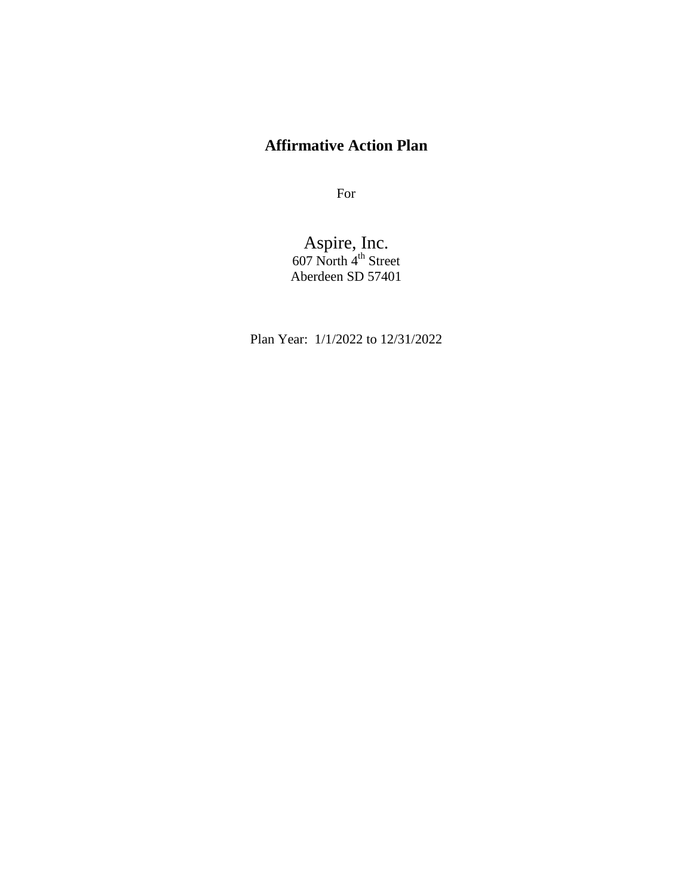# **Affirmative Action Plan**

For

Aspire, Inc. 607 North  $4^{\text{th}}$  Street Aberdeen SD 57401

Plan Year: 1/1/2022 to 12/31/2022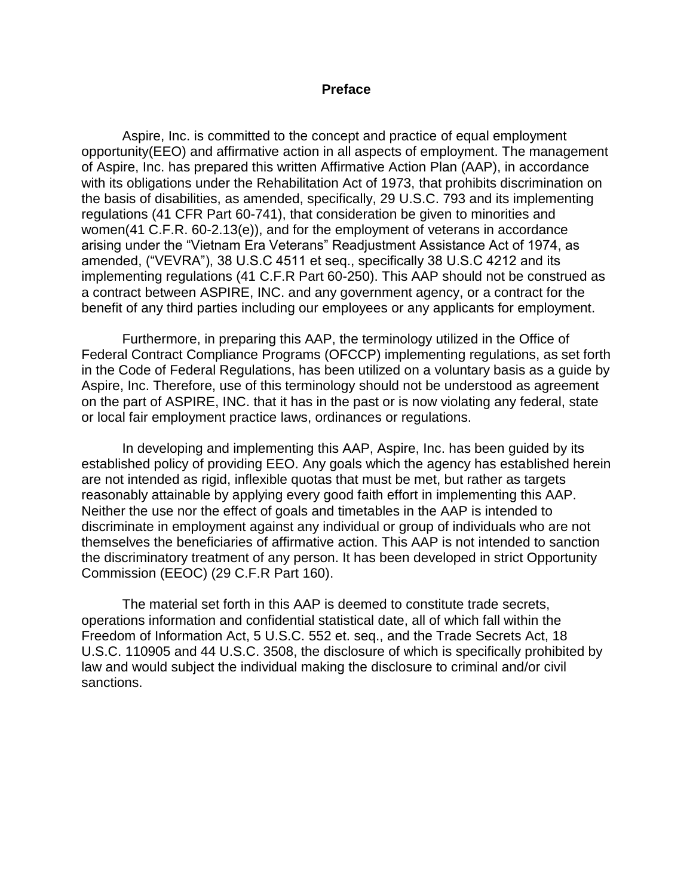#### **Preface**

Aspire, Inc. is committed to the concept and practice of equal employment opportunity(EEO) and affirmative action in all aspects of employment. The management of Aspire, Inc. has prepared this written Affirmative Action Plan (AAP), in accordance with its obligations under the Rehabilitation Act of 1973, that prohibits discrimination on the basis of disabilities, as amended, specifically, 29 U.S.C. 793 and its implementing regulations (41 CFR Part 60-741), that consideration be given to minorities and women(41 C.F.R. 60-2.13(e)), and for the employment of veterans in accordance arising under the "Vietnam Era Veterans" Readjustment Assistance Act of 1974, as amended, ("VEVRA"), 38 U.S.C 4511 et seq., specifically 38 U.S.C 4212 and its implementing regulations (41 C.F.R Part 60-250). This AAP should not be construed as a contract between ASPIRE, INC. and any government agency, or a contract for the benefit of any third parties including our employees or any applicants for employment.

Furthermore, in preparing this AAP, the terminology utilized in the Office of Federal Contract Compliance Programs (OFCCP) implementing regulations, as set forth in the Code of Federal Regulations, has been utilized on a voluntary basis as a guide by Aspire, Inc. Therefore, use of this terminology should not be understood as agreement on the part of ASPIRE, INC. that it has in the past or is now violating any federal, state or local fair employment practice laws, ordinances or regulations.

In developing and implementing this AAP, Aspire, Inc. has been guided by its established policy of providing EEO. Any goals which the agency has established herein are not intended as rigid, inflexible quotas that must be met, but rather as targets reasonably attainable by applying every good faith effort in implementing this AAP. Neither the use nor the effect of goals and timetables in the AAP is intended to discriminate in employment against any individual or group of individuals who are not themselves the beneficiaries of affirmative action. This AAP is not intended to sanction the discriminatory treatment of any person. It has been developed in strict Opportunity Commission (EEOC) (29 C.F.R Part 160).

The material set forth in this AAP is deemed to constitute trade secrets, operations information and confidential statistical date, all of which fall within the Freedom of Information Act, 5 U.S.C. 552 et. seq., and the Trade Secrets Act, 18 U.S.C. 110905 and 44 U.S.C. 3508, the disclosure of which is specifically prohibited by law and would subject the individual making the disclosure to criminal and/or civil sanctions.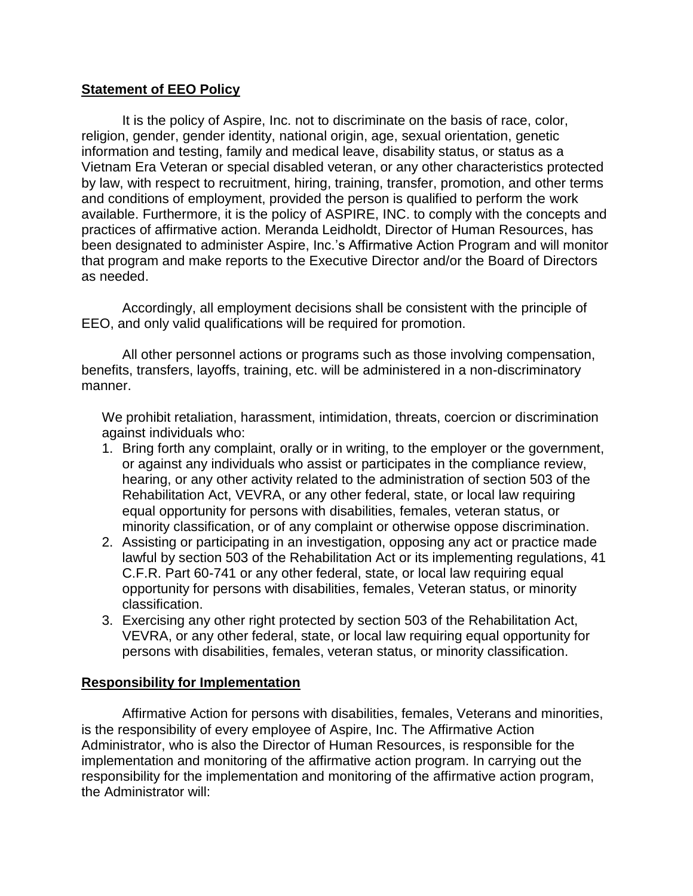#### **Statement of EEO Policy**

It is the policy of Aspire, Inc. not to discriminate on the basis of race, color, religion, gender, gender identity, national origin, age, sexual orientation, genetic information and testing, family and medical leave, disability status, or status as a Vietnam Era Veteran or special disabled veteran, or any other characteristics protected by law, with respect to recruitment, hiring, training, transfer, promotion, and other terms and conditions of employment, provided the person is qualified to perform the work available. Furthermore, it is the policy of ASPIRE, INC. to comply with the concepts and practices of affirmative action. Meranda Leidholdt, Director of Human Resources, has been designated to administer Aspire, Inc.'s Affirmative Action Program and will monitor that program and make reports to the Executive Director and/or the Board of Directors as needed.

Accordingly, all employment decisions shall be consistent with the principle of EEO, and only valid qualifications will be required for promotion.

All other personnel actions or programs such as those involving compensation, benefits, transfers, layoffs, training, etc. will be administered in a non-discriminatory manner.

We prohibit retaliation, harassment, intimidation, threats, coercion or discrimination against individuals who:

- 1. Bring forth any complaint, orally or in writing, to the employer or the government, or against any individuals who assist or participates in the compliance review, hearing, or any other activity related to the administration of section 503 of the Rehabilitation Act, VEVRA, or any other federal, state, or local law requiring equal opportunity for persons with disabilities, females, veteran status, or minority classification, or of any complaint or otherwise oppose discrimination.
- 2. Assisting or participating in an investigation, opposing any act or practice made lawful by section 503 of the Rehabilitation Act or its implementing regulations, 41 C.F.R. Part 60-741 or any other federal, state, or local law requiring equal opportunity for persons with disabilities, females, Veteran status, or minority classification.
- 3. Exercising any other right protected by section 503 of the Rehabilitation Act, VEVRA, or any other federal, state, or local law requiring equal opportunity for persons with disabilities, females, veteran status, or minority classification.

#### **Responsibility for Implementation**

Affirmative Action for persons with disabilities, females, Veterans and minorities, is the responsibility of every employee of Aspire, Inc. The Affirmative Action Administrator, who is also the Director of Human Resources, is responsible for the implementation and monitoring of the affirmative action program. In carrying out the responsibility for the implementation and monitoring of the affirmative action program, the Administrator will: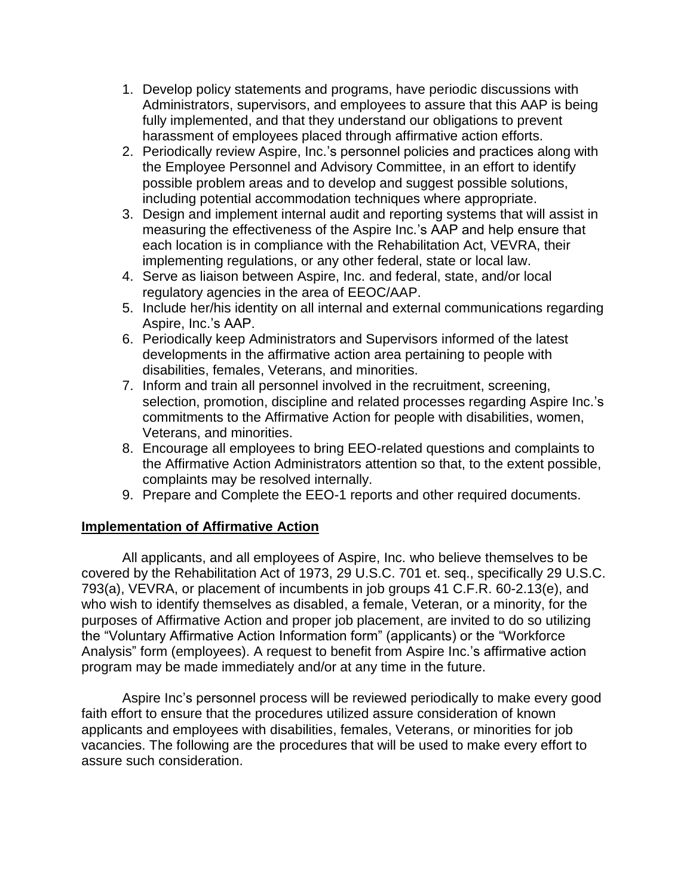- 1. Develop policy statements and programs, have periodic discussions with Administrators, supervisors, and employees to assure that this AAP is being fully implemented, and that they understand our obligations to prevent harassment of employees placed through affirmative action efforts.
- 2. Periodically review Aspire, Inc.'s personnel policies and practices along with the Employee Personnel and Advisory Committee, in an effort to identify possible problem areas and to develop and suggest possible solutions, including potential accommodation techniques where appropriate.
- 3. Design and implement internal audit and reporting systems that will assist in measuring the effectiveness of the Aspire Inc.'s AAP and help ensure that each location is in compliance with the Rehabilitation Act, VEVRA, their implementing regulations, or any other federal, state or local law.
- 4. Serve as liaison between Aspire, Inc. and federal, state, and/or local regulatory agencies in the area of EEOC/AAP.
- 5. Include her/his identity on all internal and external communications regarding Aspire, Inc.'s AAP.
- 6. Periodically keep Administrators and Supervisors informed of the latest developments in the affirmative action area pertaining to people with disabilities, females, Veterans, and minorities.
- 7. Inform and train all personnel involved in the recruitment, screening, selection, promotion, discipline and related processes regarding Aspire Inc.'s commitments to the Affirmative Action for people with disabilities, women, Veterans, and minorities.
- 8. Encourage all employees to bring EEO-related questions and complaints to the Affirmative Action Administrators attention so that, to the extent possible, complaints may be resolved internally.
- 9. Prepare and Complete the EEO-1 reports and other required documents.

### **Implementation of Affirmative Action**

All applicants, and all employees of Aspire, Inc. who believe themselves to be covered by the Rehabilitation Act of 1973, 29 U.S.C. 701 et. seq., specifically 29 U.S.C. 793(a), VEVRA, or placement of incumbents in job groups 41 C.F.R. 60-2.13(e), and who wish to identify themselves as disabled, a female, Veteran, or a minority, for the purposes of Affirmative Action and proper job placement, are invited to do so utilizing the "Voluntary Affirmative Action Information form" (applicants) or the "Workforce Analysis" form (employees). A request to benefit from Aspire Inc.'s affirmative action program may be made immediately and/or at any time in the future.

Aspire Inc's personnel process will be reviewed periodically to make every good faith effort to ensure that the procedures utilized assure consideration of known applicants and employees with disabilities, females, Veterans, or minorities for job vacancies. The following are the procedures that will be used to make every effort to assure such consideration.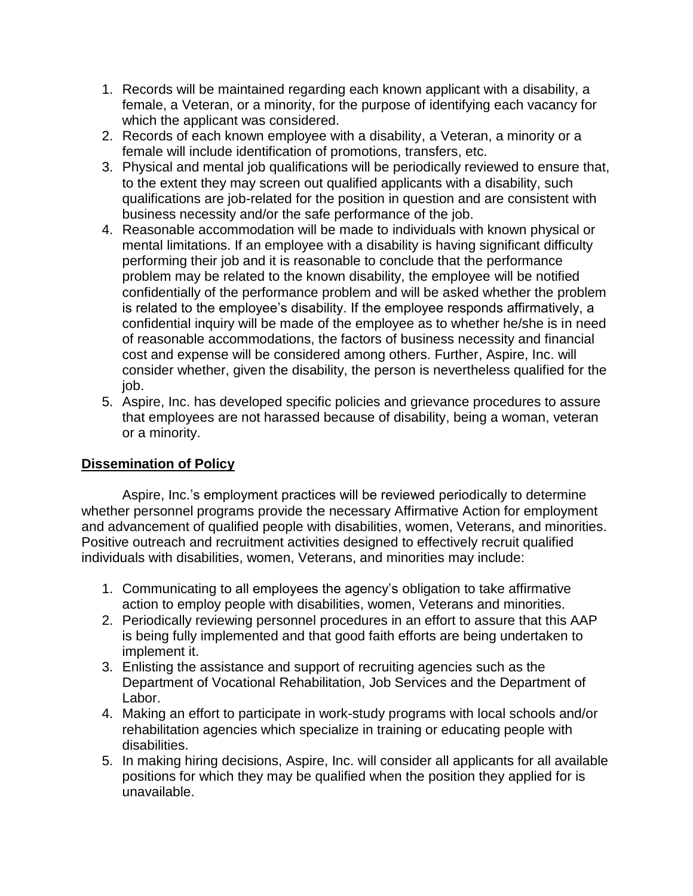- 1. Records will be maintained regarding each known applicant with a disability, a female, a Veteran, or a minority, for the purpose of identifying each vacancy for which the applicant was considered.
- 2. Records of each known employee with a disability, a Veteran, a minority or a female will include identification of promotions, transfers, etc.
- 3. Physical and mental job qualifications will be periodically reviewed to ensure that, to the extent they may screen out qualified applicants with a disability, such qualifications are job-related for the position in question and are consistent with business necessity and/or the safe performance of the job.
- 4. Reasonable accommodation will be made to individuals with known physical or mental limitations. If an employee with a disability is having significant difficulty performing their job and it is reasonable to conclude that the performance problem may be related to the known disability, the employee will be notified confidentially of the performance problem and will be asked whether the problem is related to the employee's disability. If the employee responds affirmatively, a confidential inquiry will be made of the employee as to whether he/she is in need of reasonable accommodations, the factors of business necessity and financial cost and expense will be considered among others. Further, Aspire, Inc. will consider whether, given the disability, the person is nevertheless qualified for the job.
- 5. Aspire, Inc. has developed specific policies and grievance procedures to assure that employees are not harassed because of disability, being a woman, veteran or a minority.

### **Dissemination of Policy**

Aspire, Inc.'s employment practices will be reviewed periodically to determine whether personnel programs provide the necessary Affirmative Action for employment and advancement of qualified people with disabilities, women, Veterans, and minorities. Positive outreach and recruitment activities designed to effectively recruit qualified individuals with disabilities, women, Veterans, and minorities may include:

- 1. Communicating to all employees the agency's obligation to take affirmative action to employ people with disabilities, women, Veterans and minorities.
- 2. Periodically reviewing personnel procedures in an effort to assure that this AAP is being fully implemented and that good faith efforts are being undertaken to implement it.
- 3. Enlisting the assistance and support of recruiting agencies such as the Department of Vocational Rehabilitation, Job Services and the Department of Labor.
- 4. Making an effort to participate in work-study programs with local schools and/or rehabilitation agencies which specialize in training or educating people with disabilities.
- 5. In making hiring decisions, Aspire, Inc. will consider all applicants for all available positions for which they may be qualified when the position they applied for is unavailable.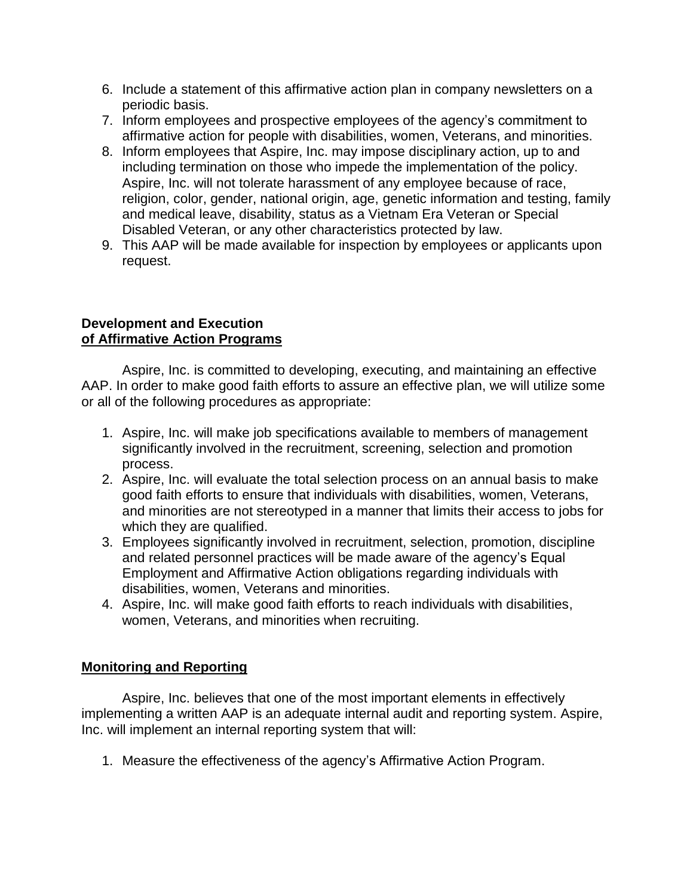- 6. Include a statement of this affirmative action plan in company newsletters on a periodic basis.
- 7. Inform employees and prospective employees of the agency's commitment to affirmative action for people with disabilities, women, Veterans, and minorities.
- 8. Inform employees that Aspire, Inc. may impose disciplinary action, up to and including termination on those who impede the implementation of the policy. Aspire, Inc. will not tolerate harassment of any employee because of race, religion, color, gender, national origin, age, genetic information and testing, family and medical leave, disability, status as a Vietnam Era Veteran or Special Disabled Veteran, or any other characteristics protected by law.
- 9. This AAP will be made available for inspection by employees or applicants upon request.

#### **Development and Execution of Affirmative Action Programs**

Aspire, Inc. is committed to developing, executing, and maintaining an effective AAP. In order to make good faith efforts to assure an effective plan, we will utilize some or all of the following procedures as appropriate:

- 1. Aspire, Inc. will make job specifications available to members of management significantly involved in the recruitment, screening, selection and promotion process.
- 2. Aspire, Inc. will evaluate the total selection process on an annual basis to make good faith efforts to ensure that individuals with disabilities, women, Veterans, and minorities are not stereotyped in a manner that limits their access to jobs for which they are qualified.
- 3. Employees significantly involved in recruitment, selection, promotion, discipline and related personnel practices will be made aware of the agency's Equal Employment and Affirmative Action obligations regarding individuals with disabilities, women, Veterans and minorities.
- 4. Aspire, Inc. will make good faith efforts to reach individuals with disabilities, women, Veterans, and minorities when recruiting.

### **Monitoring and Reporting**

Aspire, Inc. believes that one of the most important elements in effectively implementing a written AAP is an adequate internal audit and reporting system. Aspire, Inc. will implement an internal reporting system that will:

1. Measure the effectiveness of the agency's Affirmative Action Program.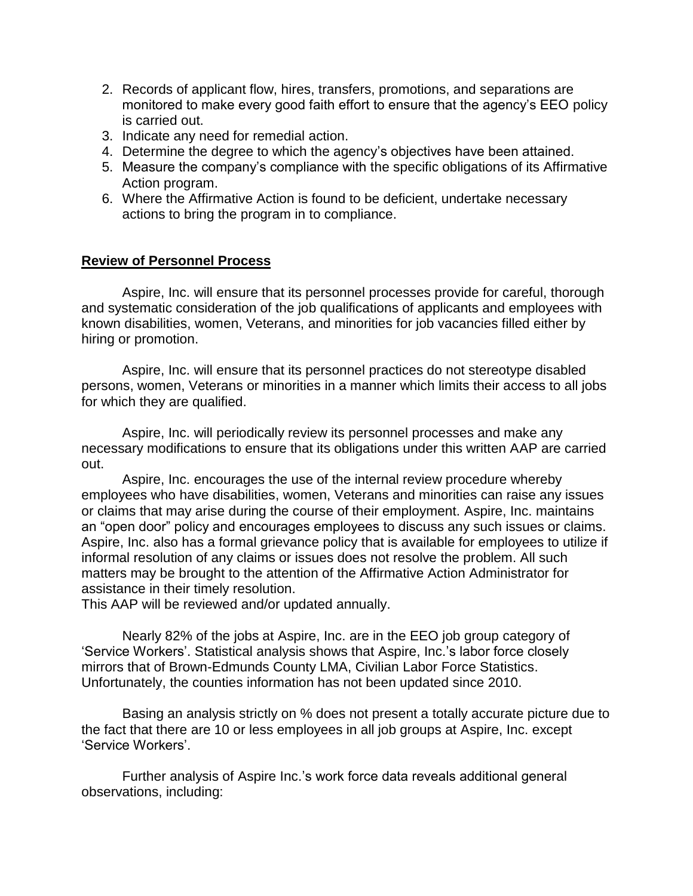- 2. Records of applicant flow, hires, transfers, promotions, and separations are monitored to make every good faith effort to ensure that the agency's EEO policy is carried out.
- 3. Indicate any need for remedial action.
- 4. Determine the degree to which the agency's objectives have been attained.
- 5. Measure the company's compliance with the specific obligations of its Affirmative Action program.
- 6. Where the Affirmative Action is found to be deficient, undertake necessary actions to bring the program in to compliance.

#### **Review of Personnel Process**

Aspire, Inc. will ensure that its personnel processes provide for careful, thorough and systematic consideration of the job qualifications of applicants and employees with known disabilities, women, Veterans, and minorities for job vacancies filled either by hiring or promotion.

Aspire, Inc. will ensure that its personnel practices do not stereotype disabled persons, women, Veterans or minorities in a manner which limits their access to all jobs for which they are qualified.

Aspire, Inc. will periodically review its personnel processes and make any necessary modifications to ensure that its obligations under this written AAP are carried out.

Aspire, Inc. encourages the use of the internal review procedure whereby employees who have disabilities, women, Veterans and minorities can raise any issues or claims that may arise during the course of their employment. Aspire, Inc. maintains an "open door" policy and encourages employees to discuss any such issues or claims. Aspire, Inc. also has a formal grievance policy that is available for employees to utilize if informal resolution of any claims or issues does not resolve the problem. All such matters may be brought to the attention of the Affirmative Action Administrator for assistance in their timely resolution.

This AAP will be reviewed and/or updated annually.

Nearly 82% of the jobs at Aspire, Inc. are in the EEO job group category of 'Service Workers'. Statistical analysis shows that Aspire, Inc.'s labor force closely mirrors that of Brown-Edmunds County LMA, Civilian Labor Force Statistics. Unfortunately, the counties information has not been updated since 2010.

Basing an analysis strictly on % does not present a totally accurate picture due to the fact that there are 10 or less employees in all job groups at Aspire, Inc. except 'Service Workers'.

Further analysis of Aspire Inc.'s work force data reveals additional general observations, including: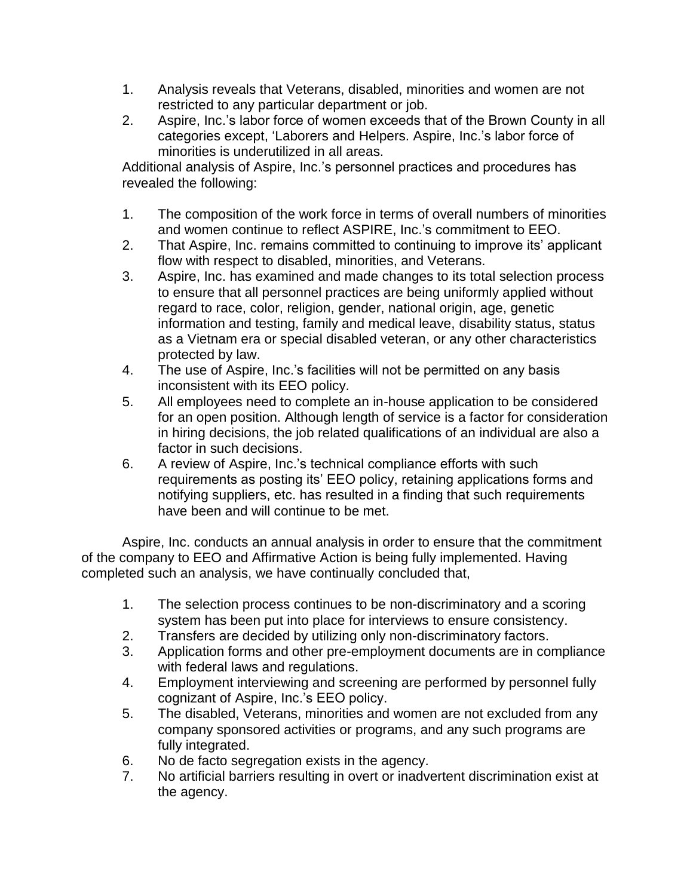- 1. Analysis reveals that Veterans, disabled, minorities and women are not restricted to any particular department or job.
- 2. Aspire, Inc.'s labor force of women exceeds that of the Brown County in all categories except, 'Laborers and Helpers. Aspire, Inc.'s labor force of minorities is underutilized in all areas.

Additional analysis of Aspire, Inc.'s personnel practices and procedures has revealed the following:

- 1. The composition of the work force in terms of overall numbers of minorities and women continue to reflect ASPIRE, Inc.'s commitment to EEO.
- 2. That Aspire, Inc. remains committed to continuing to improve its' applicant flow with respect to disabled, minorities, and Veterans.
- 3. Aspire, Inc. has examined and made changes to its total selection process to ensure that all personnel practices are being uniformly applied without regard to race, color, religion, gender, national origin, age, genetic information and testing, family and medical leave, disability status, status as a Vietnam era or special disabled veteran, or any other characteristics protected by law.
- 4. The use of Aspire, Inc.'s facilities will not be permitted on any basis inconsistent with its EEO policy.
- 5. All employees need to complete an in-house application to be considered for an open position. Although length of service is a factor for consideration in hiring decisions, the job related qualifications of an individual are also a factor in such decisions.
- 6. A review of Aspire, Inc.'s technical compliance efforts with such requirements as posting its' EEO policy, retaining applications forms and notifying suppliers, etc. has resulted in a finding that such requirements have been and will continue to be met.

Aspire, Inc. conducts an annual analysis in order to ensure that the commitment of the company to EEO and Affirmative Action is being fully implemented. Having completed such an analysis, we have continually concluded that,

- 1. The selection process continues to be non-discriminatory and a scoring system has been put into place for interviews to ensure consistency.
- 2. Transfers are decided by utilizing only non-discriminatory factors.
- 3. Application forms and other pre-employment documents are in compliance with federal laws and regulations.
- 4. Employment interviewing and screening are performed by personnel fully cognizant of Aspire, Inc.'s EEO policy.
- 5. The disabled, Veterans, minorities and women are not excluded from any company sponsored activities or programs, and any such programs are fully integrated.
- 6. No de facto segregation exists in the agency.
- 7. No artificial barriers resulting in overt or inadvertent discrimination exist at the agency.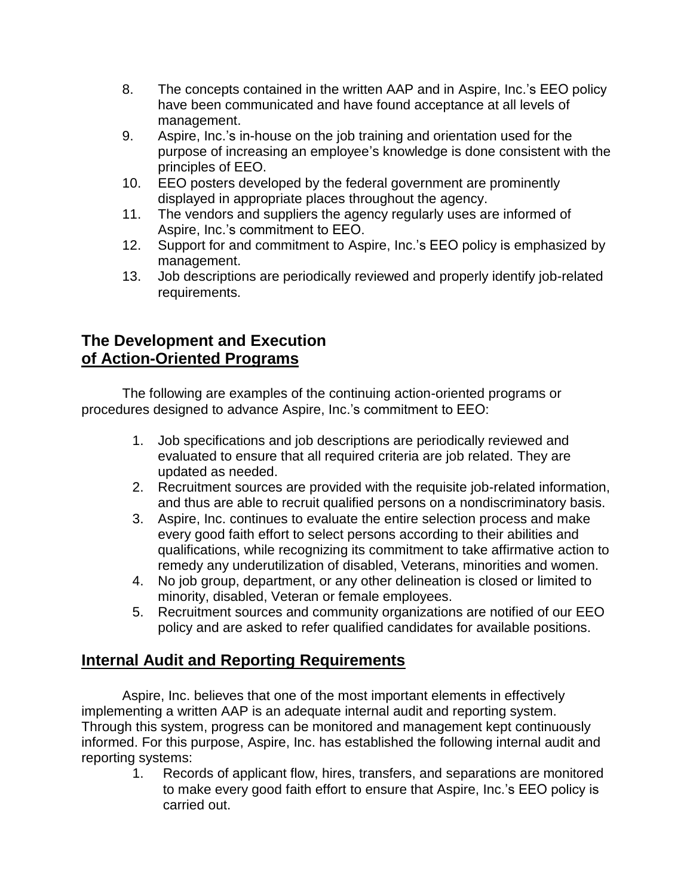- 8. The concepts contained in the written AAP and in Aspire, Inc.'s EEO policy have been communicated and have found acceptance at all levels of management.
- 9. Aspire, Inc.'s in-house on the job training and orientation used for the purpose of increasing an employee's knowledge is done consistent with the principles of EEO.
- 10. EEO posters developed by the federal government are prominently displayed in appropriate places throughout the agency.
- 11. The vendors and suppliers the agency regularly uses are informed of Aspire, Inc.'s commitment to EEO.
- 12. Support for and commitment to Aspire, Inc.'s EEO policy is emphasized by management.
- 13. Job descriptions are periodically reviewed and properly identify job-related requirements.

### **The Development and Execution of Action-Oriented Programs**

The following are examples of the continuing action-oriented programs or procedures designed to advance Aspire, Inc.'s commitment to EEO:

- 1. Job specifications and job descriptions are periodically reviewed and evaluated to ensure that all required criteria are job related. They are updated as needed.
- 2. Recruitment sources are provided with the requisite job-related information, and thus are able to recruit qualified persons on a nondiscriminatory basis.
- 3. Aspire, Inc. continues to evaluate the entire selection process and make every good faith effort to select persons according to their abilities and qualifications, while recognizing its commitment to take affirmative action to remedy any underutilization of disabled, Veterans, minorities and women.
- 4. No job group, department, or any other delineation is closed or limited to minority, disabled, Veteran or female employees.
- 5. Recruitment sources and community organizations are notified of our EEO policy and are asked to refer qualified candidates for available positions.

## **Internal Audit and Reporting Requirements**

Aspire, Inc. believes that one of the most important elements in effectively implementing a written AAP is an adequate internal audit and reporting system. Through this system, progress can be monitored and management kept continuously informed. For this purpose, Aspire, Inc. has established the following internal audit and reporting systems:

1. Records of applicant flow, hires, transfers, and separations are monitored to make every good faith effort to ensure that Aspire, Inc.'s EEO policy is carried out.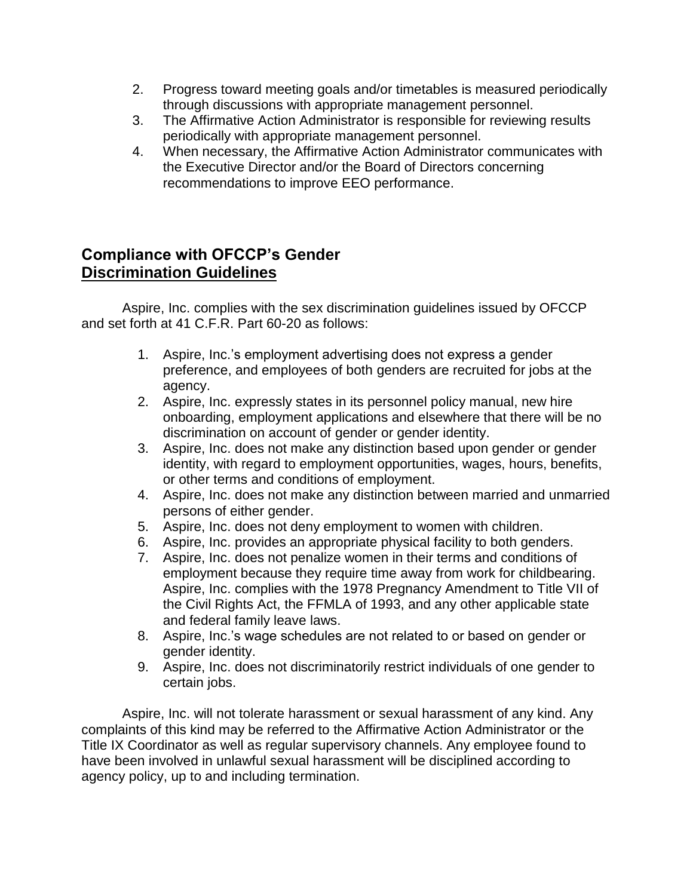- 2. Progress toward meeting goals and/or timetables is measured periodically through discussions with appropriate management personnel.
- 3. The Affirmative Action Administrator is responsible for reviewing results periodically with appropriate management personnel.
- 4. When necessary, the Affirmative Action Administrator communicates with the Executive Director and/or the Board of Directors concerning recommendations to improve EEO performance.

### **Compliance with OFCCP's Gender Discrimination Guidelines**

Aspire, Inc. complies with the sex discrimination guidelines issued by OFCCP and set forth at 41 C.F.R. Part 60-20 as follows:

- 1. Aspire, Inc.'s employment advertising does not express a gender preference, and employees of both genders are recruited for jobs at the agency.
- 2. Aspire, Inc. expressly states in its personnel policy manual, new hire onboarding, employment applications and elsewhere that there will be no discrimination on account of gender or gender identity.
- 3. Aspire, Inc. does not make any distinction based upon gender or gender identity, with regard to employment opportunities, wages, hours, benefits, or other terms and conditions of employment.
- 4. Aspire, Inc. does not make any distinction between married and unmarried persons of either gender.
- 5. Aspire, Inc. does not deny employment to women with children.
- 6. Aspire, Inc. provides an appropriate physical facility to both genders.
- 7. Aspire, Inc. does not penalize women in their terms and conditions of employment because they require time away from work for childbearing. Aspire, Inc. complies with the 1978 Pregnancy Amendment to Title VII of the Civil Rights Act, the FFMLA of 1993, and any other applicable state and federal family leave laws.
- 8. Aspire, Inc.'s wage schedules are not related to or based on gender or gender identity.
- 9. Aspire, Inc. does not discriminatorily restrict individuals of one gender to certain jobs.

Aspire, Inc. will not tolerate harassment or sexual harassment of any kind. Any complaints of this kind may be referred to the Affirmative Action Administrator or the Title IX Coordinator as well as regular supervisory channels. Any employee found to have been involved in unlawful sexual harassment will be disciplined according to agency policy, up to and including termination.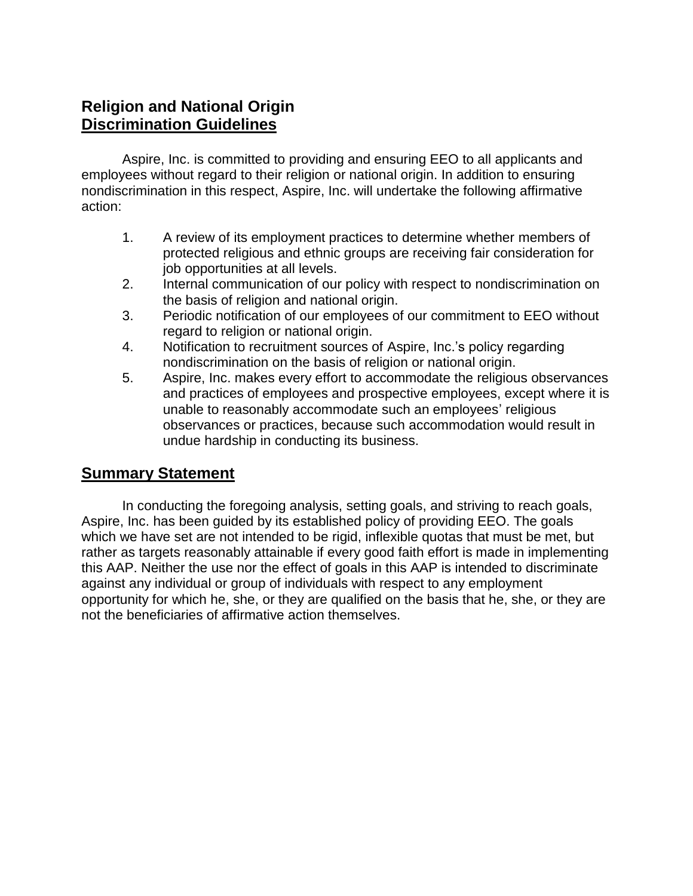### **Religion and National Origin Discrimination Guidelines**

Aspire, Inc. is committed to providing and ensuring EEO to all applicants and employees without regard to their religion or national origin. In addition to ensuring nondiscrimination in this respect, Aspire, Inc. will undertake the following affirmative action:

- 1. A review of its employment practices to determine whether members of protected religious and ethnic groups are receiving fair consideration for job opportunities at all levels.
- 2. Internal communication of our policy with respect to nondiscrimination on the basis of religion and national origin.
- 3. Periodic notification of our employees of our commitment to EEO without regard to religion or national origin.
- 4. Notification to recruitment sources of Aspire, Inc.'s policy regarding nondiscrimination on the basis of religion or national origin.
- 5. Aspire, Inc. makes every effort to accommodate the religious observances and practices of employees and prospective employees, except where it is unable to reasonably accommodate such an employees' religious observances or practices, because such accommodation would result in undue hardship in conducting its business.

### **Summary Statement**

In conducting the foregoing analysis, setting goals, and striving to reach goals, Aspire, Inc. has been guided by its established policy of providing EEO. The goals which we have set are not intended to be rigid, inflexible quotas that must be met, but rather as targets reasonably attainable if every good faith effort is made in implementing this AAP. Neither the use nor the effect of goals in this AAP is intended to discriminate against any individual or group of individuals with respect to any employment opportunity for which he, she, or they are qualified on the basis that he, she, or they are not the beneficiaries of affirmative action themselves.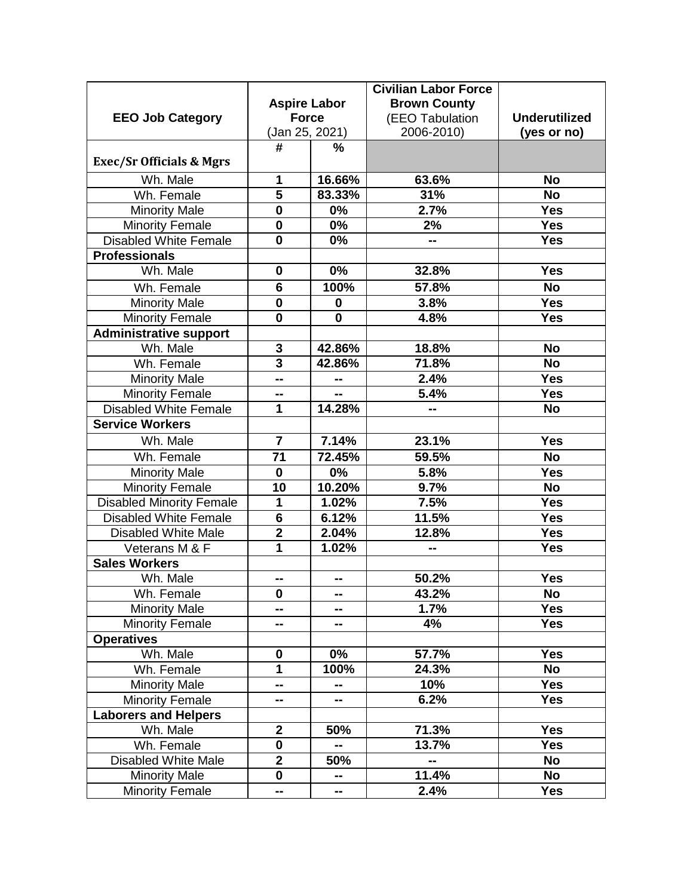|                                     |                         |               | <b>Civilian Labor Force</b> |                      |
|-------------------------------------|-------------------------|---------------|-----------------------------|----------------------|
|                                     | <b>Aspire Labor</b>     |               | <b>Brown County</b>         |                      |
| <b>EEO Job Category</b>             | <b>Force</b>            |               | (EEO Tabulation             | <b>Underutilized</b> |
|                                     | (Jan 25, 2021)          |               | 2006-2010)                  | (yes or no)          |
|                                     | #                       | $\frac{9}{6}$ |                             |                      |
| <b>Exec/Sr Officials &amp; Mgrs</b> |                         |               |                             |                      |
| Wh. Male                            | 1                       | 16.66%        | 63.6%                       | <b>No</b>            |
| Wh. Female                          | 5                       | 83.33%        | 31%                         | <b>No</b>            |
| <b>Minority Male</b>                | $\mathbf 0$             | 0%            | 2.7%                        | <b>Yes</b>           |
| <b>Minority Female</b>              | $\bf{0}$                | 0%            | 2%                          | <b>Yes</b>           |
| <b>Disabled White Female</b>        | $\bf{0}$                | 0%            |                             | <b>Yes</b>           |
| <b>Professionals</b>                |                         |               |                             |                      |
| Wh. Male                            | $\bf{0}$                | 0%            | 32.8%                       | <b>Yes</b>           |
| Wh. Female                          | 6                       | 100%          | 57.8%                       | <b>No</b>            |
| <b>Minority Male</b>                | $\bf{0}$                | 0             | 3.8%                        | <b>Yes</b>           |
| <b>Minority Female</b>              | $\bf{0}$                | $\bf{0}$      | 4.8%                        | <b>Yes</b>           |
| <b>Administrative support</b>       |                         |               |                             |                      |
| Wh. Male                            | 3                       | 42.86%        | 18.8%                       | <b>No</b>            |
| Wh. Female                          | $\overline{\mathbf{3}}$ | 42.86%        | 71.8%                       | <b>No</b>            |
| <b>Minority Male</b>                | --                      | --            | 2.4%                        | <b>Yes</b>           |
| <b>Minority Female</b>              | --                      | --            | 5.4%                        | <b>Yes</b>           |
| <b>Disabled White Female</b>        | 1                       | 14.28%        |                             | <b>No</b>            |
| <b>Service Workers</b>              |                         |               |                             |                      |
| Wh. Male                            | $\overline{7}$          | 7.14%         | 23.1%                       | <b>Yes</b>           |
| Wh. Female                          | 71                      | 72.45%        | 59.5%                       | <b>No</b>            |
| <b>Minority Male</b>                | $\bf{0}$                | $0\%$         | 5.8%                        | Yes                  |
| <b>Minority Female</b>              | 10                      | 10.20%        | 9.7%                        | <b>No</b>            |
| <b>Disabled Minority Female</b>     | 1                       | 1.02%         | 7.5%                        | <b>Yes</b>           |
| <b>Disabled White Female</b>        | 6                       | 6.12%         | 11.5%                       | <b>Yes</b>           |
| <b>Disabled White Male</b>          | $\overline{2}$          | 2.04%         | 12.8%                       | <b>Yes</b>           |
| Veterans M & F                      | 1                       | 1.02%         |                             | <b>Yes</b>           |
| <b>Sales Workers</b>                |                         |               |                             |                      |
| Wh. Male                            | --                      | --            | 50.2%                       | <b>Yes</b>           |
| Wh. Female                          | 0                       | --            | 43.2%                       | <b>No</b>            |
| <b>Minority Male</b>                |                         | --            | 1.7%                        | <b>Yes</b>           |
| <b>Minority Female</b>              | --                      | --            | 4%                          | <b>Yes</b>           |
| <b>Operatives</b>                   |                         |               |                             |                      |
| Wh. Male                            | $\mathbf 0$             | $0\%$         | 57.7%                       | <b>Yes</b>           |
| Wh. Female                          | 1                       | 100%          | 24.3%                       | <b>No</b>            |
| <b>Minority Male</b>                | --                      | --            | 10%                         | <b>Yes</b>           |
| <b>Minority Female</b>              | --                      | --            | 6.2%                        | <b>Yes</b>           |
| <b>Laborers and Helpers</b>         |                         |               |                             |                      |
| Wh. Male                            | $\mathbf{2}$            | 50%           | 71.3%                       | <b>Yes</b>           |
| Wh. Female                          | $\mathbf 0$             | --            | 13.7%                       | <b>Yes</b>           |
| <b>Disabled White Male</b>          | $\overline{\mathbf{2}}$ | 50%           | --                          | <b>No</b>            |
| <b>Minority Male</b>                | $\mathbf 0$             | --            | 11.4%                       | <b>No</b>            |
| <b>Minority Female</b>              | --                      | ⊷             | 2.4%                        | <b>Yes</b>           |
|                                     |                         |               |                             |                      |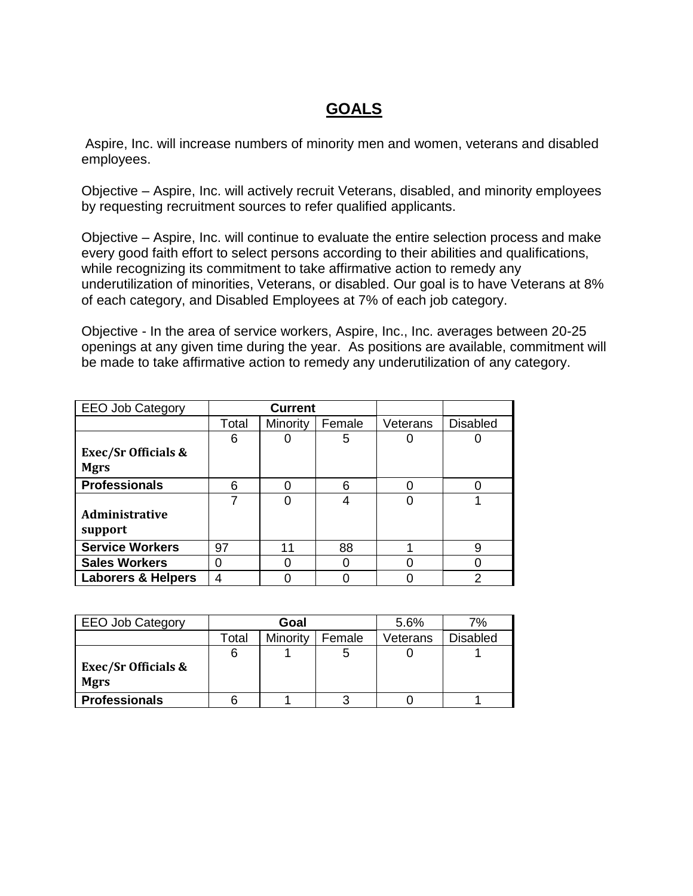### **GOALS**

Aspire, Inc. will increase numbers of minority men and women, veterans and disabled employees.

Objective – Aspire, Inc. will actively recruit Veterans, disabled, and minority employees by requesting recruitment sources to refer qualified applicants.

Objective – Aspire, Inc. will continue to evaluate the entire selection process and make every good faith effort to select persons according to their abilities and qualifications, while recognizing its commitment to take affirmative action to remedy any underutilization of minorities, Veterans, or disabled. Our goal is to have Veterans at 8% of each category, and Disabled Employees at 7% of each job category.

Objective - In the area of service workers, Aspire, Inc., Inc. averages between 20-25 openings at any given time during the year. As positions are available, commitment will be made to take affirmative action to remedy any underutilization of any category.

| <b>EEO Job Category</b>        | <b>Current</b> |          |        |          |                 |
|--------------------------------|----------------|----------|--------|----------|-----------------|
|                                | Total          | Minority | Female | Veterans | <b>Disabled</b> |
|                                | 6              |          | 5      |          |                 |
| <b>Exec/Sr Officials &amp;</b> |                |          |        |          |                 |
| <b>Mgrs</b>                    |                |          |        |          |                 |
| <b>Professionals</b>           | 6              | O        | 6      |          |                 |
|                                | 7              | 0        | 4      |          |                 |
| <b>Administrative</b>          |                |          |        |          |                 |
| support                        |                |          |        |          |                 |
| <b>Service Workers</b>         | 97             | 11       | 88     |          | 9               |
| <b>Sales Workers</b>           | 0              | 0        |        |          |                 |
| <b>Laborers &amp; Helpers</b>  | 4              |          |        |          | 2               |

| <b>EEO Job Category</b>                       | Goal  |          |        | 5.6%     | 7%              |
|-----------------------------------------------|-------|----------|--------|----------|-----------------|
|                                               | Total | Minority | Female | Veterans | <b>Disabled</b> |
|                                               |       |          | 5      |          |                 |
| <b>Exec/Sr Officials &amp;</b><br><b>Mgrs</b> |       |          |        |          |                 |
| <b>Professionals</b>                          |       |          | ว      |          |                 |